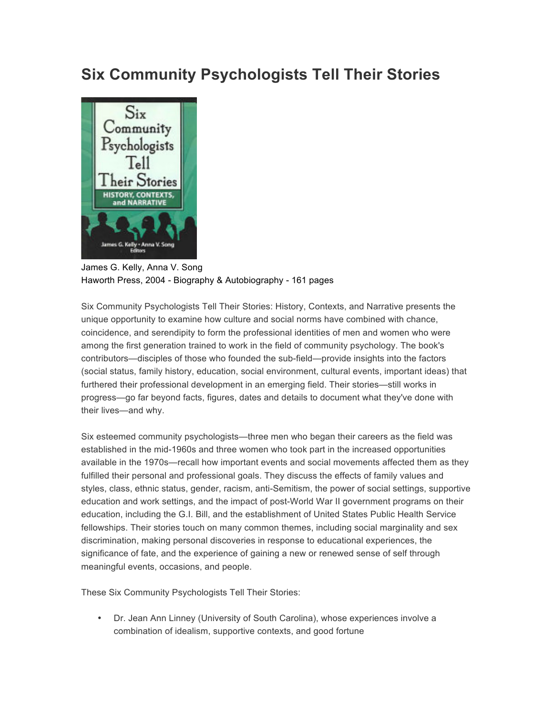## **Six Community Psychologists Tell Their Stories**



James G. Kelly, Anna V. Song Haworth Press, 2004 - Biography & Autobiography - 161 pages

Six Community Psychologists Tell Their Stories: History, Contexts, and Narrative presents the unique opportunity to examine how culture and social norms have combined with chance, coincidence, and serendipity to form the professional identities of men and women who were among the first generation trained to work in the field of community psychology. The book's contributors—disciples of those who founded the sub-field—provide insights into the factors (social status, family history, education, social environment, cultural events, important ideas) that furthered their professional development in an emerging field. Their stories—still works in progress—go far beyond facts, figures, dates and details to document what they've done with their lives—and why.

Six esteemed community psychologists—three men who began their careers as the field was established in the mid-1960s and three women who took part in the increased opportunities available in the 1970s—recall how important events and social movements affected them as they fulfilled their personal and professional goals. They discuss the effects of family values and styles, class, ethnic status, gender, racism, anti-Semitism, the power of social settings, supportive education and work settings, and the impact of post-World War II government programs on their education, including the G.I. Bill, and the establishment of United States Public Health Service fellowships. Their stories touch on many common themes, including social marginality and sex discrimination, making personal discoveries in response to educational experiences, the significance of fate, and the experience of gaining a new or renewed sense of self through meaningful events, occasions, and people.

These Six Community Psychologists Tell Their Stories:

• Dr. Jean Ann Linney (University of South Carolina), whose experiences involve a combination of idealism, supportive contexts, and good fortune